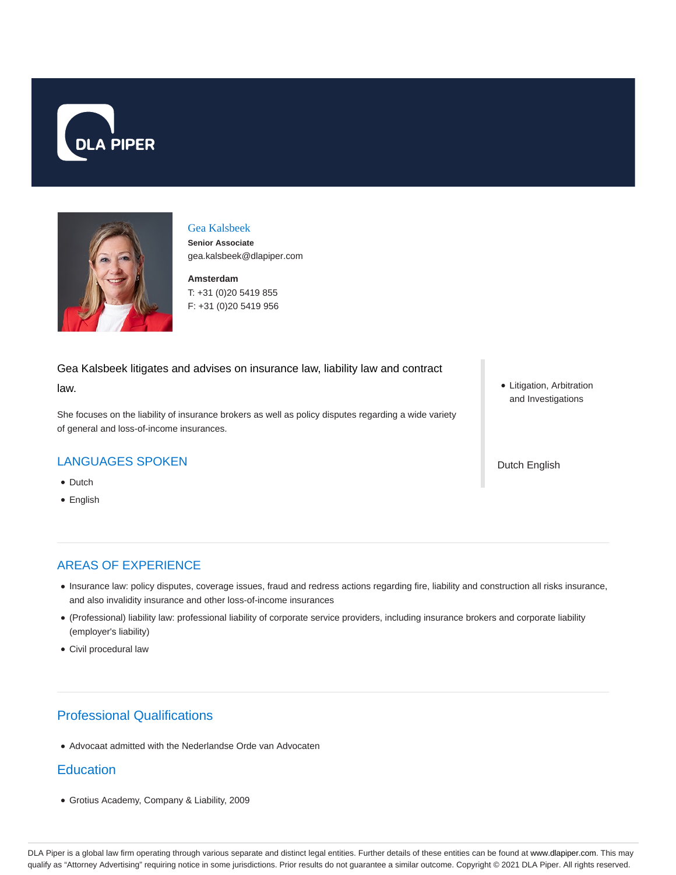



## Gea Kalsbeek

**Senior Associate** gea.kalsbeek@dlapiper.com

**Amsterdam** T: +31 (0)20 5419 855 F: +31 (0)20 5419 956

Gea Kalsbeek litigates and advises on insurance law, liability law and contract law.

She focuses on the liability of insurance brokers as well as policy disputes regarding a wide variety of general and loss-of-income insurances.

### LANGUAGES SPOKEN

- Dutch
- English

Litigation, Arbitration and Investigations

Dutch English

## AREAS OF EXPERIENCE

- Insurance law: policy disputes, coverage issues, fraud and redress actions regarding fire, liability and construction all risks insurance, and also invalidity insurance and other loss-of-income insurances
- (Professional) liability law: professional liability of corporate service providers, including insurance brokers and corporate liability (employer's liability)
- Civil procedural law

# Professional Qualifications

Advocaat admitted with the Nederlandse Orde van Advocaten

### **Education**

Grotius Academy, Company & Liability, 2009

DLA Piper is a global law firm operating through various separate and distinct legal entities. Further details of these entities can be found at www.dlapiper.com. This may qualify as "Attorney Advertising" requiring notice in some jurisdictions. Prior results do not guarantee a similar outcome. Copyright © 2021 DLA Piper. All rights reserved.